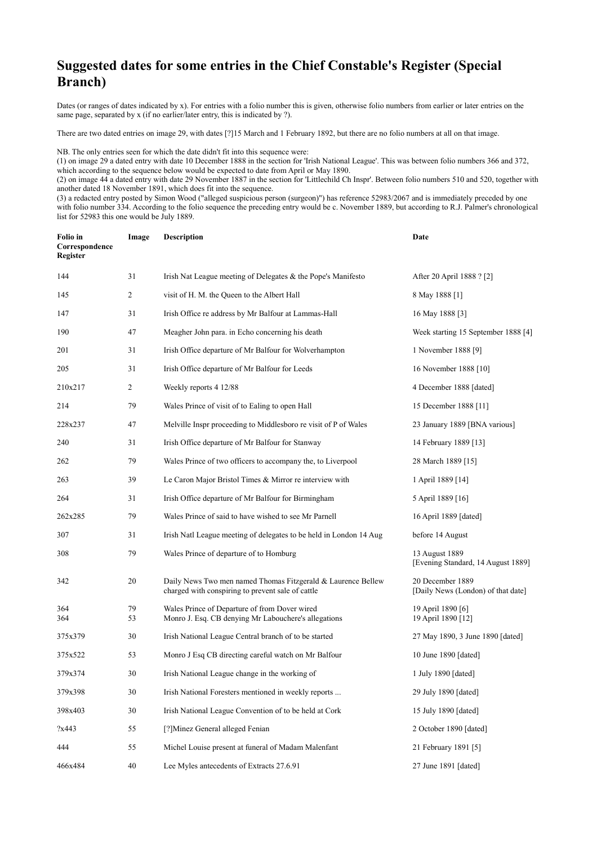## **Suggested dates for some entries in the Chief Constable's Register (Special Branch)**

Dates (or ranges of dates indicated by x). For entries with a folio number this is given, otherwise folio numbers from earlier or later entries on the same page, separated by x (if no earlier/later entry, this is indicated by ?).

There are two dated entries on image 29, with dates [?]15 March and 1 February 1892, but there are no folio numbers at all on that image.

NB. The only entries seen for which the date didn't fit into this sequence were:

(1) on image 29 a dated entry with date 10 December 1888 in the section for 'Irish National League'. This was between folio numbers 366 and 372, which according to the sequence below would be expected to date from April or May 1890.

(2) on image 44 a dated entry with date 29 November 1887 in the section for 'Littlechild Ch Inspr'. Between folio numbers 510 and 520, together with another dated 18 November 1891, which does fit into the sequence.

(3) a redacted entry posted by Simon Wood ("alleged suspicious person (surgeon)") has reference 52983/2067 and is immediately preceded by one with folio number 334. According to the folio sequence the preceding entry would be c. November 1889, but according to R.J. Palmer's chronological list for 52983 this one would be July 1889.

| Folio in<br>Correspondence<br>Register | Image          | <b>Description</b>                                                                                                | Date                                                   |
|----------------------------------------|----------------|-------------------------------------------------------------------------------------------------------------------|--------------------------------------------------------|
| 144                                    | 31             | Irish Nat League meeting of Delegates & the Pope's Manifesto                                                      | After 20 April 1888 ? [2]                              |
| 145                                    | $\overline{2}$ | visit of H. M. the Queen to the Albert Hall                                                                       | 8 May 1888 [1]                                         |
| 147                                    | 31             | Irish Office re address by Mr Balfour at Lammas-Hall                                                              | 16 May 1888 [3]                                        |
| 190                                    | 47             | Meagher John para. in Echo concerning his death                                                                   | Week starting 15 September 1888 [4]                    |
| 201                                    | 31             | Irish Office departure of Mr Balfour for Wolverhampton                                                            | 1 November 1888 [9]                                    |
| 205                                    | 31             | Irish Office departure of Mr Balfour for Leeds                                                                    | 16 November 1888 [10]                                  |
| 210x217                                | 2              | Weekly reports 4 12/88                                                                                            | 4 December 1888 [dated]                                |
| 214                                    | 79             | Wales Prince of visit of to Ealing to open Hall                                                                   | 15 December 1888 [11]                                  |
| 228x237                                | 47             | Melville Inspr proceeding to Middlesboro re visit of P of Wales                                                   | 23 January 1889 [BNA various]                          |
| 240                                    | 31             | Irish Office departure of Mr Balfour for Stanway                                                                  | 14 February 1889 [13]                                  |
| 262                                    | 79             | Wales Prince of two officers to accompany the, to Liverpool                                                       | 28 March 1889 [15]                                     |
| 263                                    | 39             | Le Caron Major Bristol Times & Mirror re interview with                                                           | 1 April 1889 [14]                                      |
| 264                                    | 31             | Irish Office departure of Mr Balfour for Birmingham                                                               | 5 April 1889 [16]                                      |
| 262x285                                | 79             | Wales Prince of said to have wished to see Mr Parnell                                                             | 16 April 1889 [dated]                                  |
| 307                                    | 31             | Irish Natl League meeting of delegates to be held in London 14 Aug                                                | before 14 August                                       |
| 308                                    | 79             | Wales Prince of departure of to Homburg                                                                           | 13 August 1889<br>[Evening Standard, 14 August 1889]   |
| 342                                    | 20             | Daily News Two men named Thomas Fitzgerald & Laurence Bellew<br>charged with conspiring to prevent sale of cattle | 20 December 1889<br>[Daily News (London) of that date] |
| 364<br>364                             | 79<br>53       | Wales Prince of Departure of from Dover wired<br>Monro J. Esq. CB denying Mr Labouchere's allegations             | 19 April 1890 [6]<br>19 April 1890 [12]                |
| 375x379                                | 30             | Irish National League Central branch of to be started                                                             | 27 May 1890, 3 June 1890 [dated]                       |
| 375x522                                | 53             | Monro J Esq CB directing careful watch on Mr Balfour                                                              | 10 June 1890 [dated]                                   |
| 379x374                                | 30             | Irish National League change in the working of                                                                    | 1 July 1890 [dated]                                    |
| 379x398                                | 30             | Irish National Foresters mentioned in weekly reports                                                              | 29 July 1890 [dated]                                   |
| 398x403                                | 30             | Irish National League Convention of to be held at Cork                                                            | 15 July 1890 [dated]                                   |
| ?x443                                  | 55             | [?]Minez General alleged Fenian                                                                                   | 2 October 1890 [dated]                                 |
| 444                                    | 55             | Michel Louise present at funeral of Madam Malenfant                                                               | 21 February 1891 [5]                                   |
| 466x484                                | 40             | Lee Myles antecedents of Extracts 27.6.91                                                                         | 27 June 1891 [dated]                                   |